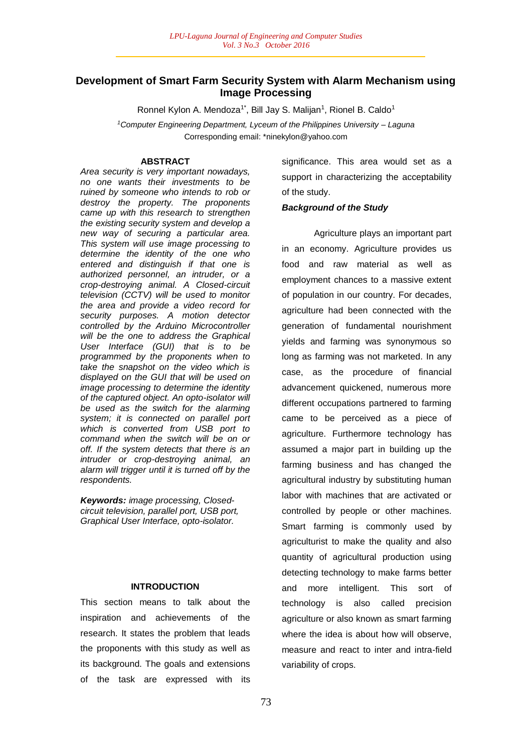# **Development of Smart Farm Security System with Alarm Mechanism using Image Processing**

Ronnel Kylon A. Mendoza<sup>1\*</sup>, Bill Jay S. Malijan<sup>1</sup>, Rionel B. Caldo<sup>1</sup>

*<sup>1</sup>Computer Engineering Department, Lyceum of the Philippines University – Laguna* Corresponding email: \*ninekylon@yahoo.com

### **ABSTRACT**

*Area security is very important nowadays, no one wants their investments to be ruined by someone who intends to rob or destroy the property. The proponents came up with this research to strengthen the existing security system and develop a new way of securing a particular area. This system will use image processing to determine the identity of the one who entered and distinguish if that one is authorized personnel, an intruder, or a crop-destroying animal. A Closed-circuit television (CCTV) will be used to monitor the area and provide a video record for security purposes. A motion detector controlled by the Arduino Microcontroller will be the one to address the Graphical User Interface (GUI) that is to be programmed by the proponents when to take the snapshot on the video which is displayed on the GUI that will be used on image processing to determine the identity of the captured object. An opto-isolator will be used as the switch for the alarming system; it is connected on parallel port which is converted from USB port to command when the switch will be on or off. If the system detects that there is an intruder or crop-destroying animal, an alarm will trigger until it is turned off by the respondents.*

*Keywords: image processing, Closedcircuit television, parallel port, USB port, Graphical User Interface, opto-isolator.*

#### **INTRODUCTION**

This section means to talk about the inspiration and achievements of the research. It states the problem that leads the proponents with this study as well as its background. The goals and extensions of the task are expressed with its

significance. This area would set as a support in characterizing the acceptability of the study.

### *Background of the Study*

Agriculture plays an important part in an economy. Agriculture provides us food and raw material as well as employment chances to a massive extent of population in our country. For decades, agriculture had been connected with the generation of fundamental nourishment yields and farming was synonymous so long as farming was not marketed. In any case, as the procedure of financial advancement quickened, numerous more different occupations partnered to farming came to be perceived as a piece of agriculture. Furthermore technology has assumed a major part in building up the farming business and has changed the agricultural industry by substituting human labor with machines that are activated or controlled by people or other machines. Smart farming is commonly used by agriculturist to make the quality and also quantity of agricultural production using detecting technology to make farms better and more intelligent. This sort of technology is also called precision agriculture or also known as smart farming where the idea is about how will observe, measure and react to inter and intra-field variability of crops.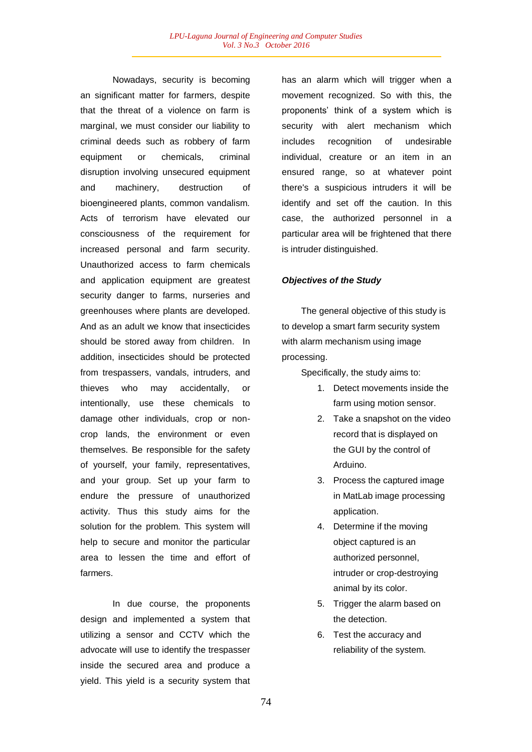Nowadays, security is becoming an significant matter for farmers, despite that the threat of a violence on farm is marginal, we must consider our liability to criminal deeds such as robbery of farm equipment or chemicals, criminal disruption involving unsecured equipment and machinery, destruction of bioengineered plants, common vandalism. Acts of terrorism have elevated our consciousness of the requirement for increased personal and farm security. Unauthorized access to farm chemicals and application equipment are greatest security danger to farms, nurseries and greenhouses where plants are developed. And as an adult we know that insecticides should be stored away from children. In addition, insecticides should be protected from trespassers, vandals, intruders, and thieves who may accidentally, or intentionally, use these chemicals to damage other individuals, crop or noncrop lands, the environment or even themselves. Be responsible for the safety of yourself, your family, representatives, and your group. Set up your farm to endure the pressure of unauthorized activity. Thus this study aims for the solution for the problem. This system will help to secure and monitor the particular area to lessen the time and effort of farmers.

In due course, the proponents design and implemented a system that utilizing a sensor and CCTV which the advocate will use to identify the trespasser inside the secured area and produce a yield. This yield is a security system that

has an alarm which will trigger when a movement recognized. So with this, the proponents' think of a system which is security with alert mechanism which includes recognition of undesirable individual, creature or an item in an ensured range, so at whatever point there's a suspicious intruders it will be identify and set off the caution. In this case, the authorized personnel in a particular area will be frightened that there is intruder distinguished.

### *Objectives of the Study*

The general objective of this study is to develop a smart farm security system with alarm mechanism using image processing.

Specifically, the study aims to:

- 1. Detect movements inside the farm using motion sensor.
- 2. Take a snapshot on the video record that is displayed on the GUI by the control of Arduino.
- 3. Process the captured image in MatLab image processing application.
- 4. Determine if the moving object captured is an authorized personnel, intruder or crop-destroying animal by its color.
- 5. Trigger the alarm based on the detection.
- 6. Test the accuracy and reliability of the system.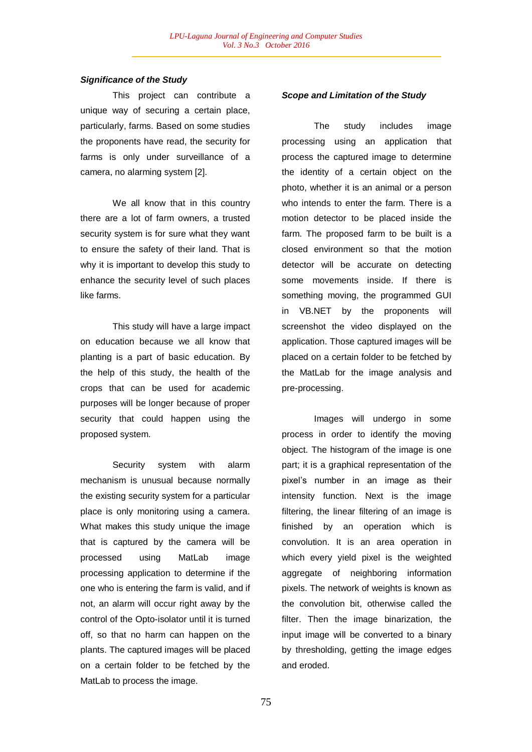### *Significance of the Study*

This project can contribute a unique way of securing a certain place, particularly, farms. Based on some studies the proponents have read, the security for farms is only under surveillance of a camera, no alarming system [2].

We all know that in this country there are a lot of farm owners, a trusted security system is for sure what they want to ensure the safety of their land. That is why it is important to develop this study to enhance the security level of such places like farms.

This study will have a large impact on education because we all know that planting is a part of basic education. By the help of this study, the health of the crops that can be used for academic purposes will be longer because of proper security that could happen using the proposed system.

Security system with alarm mechanism is unusual because normally the existing security system for a particular place is only monitoring using a camera. What makes this study unique the image that is captured by the camera will be processed using MatLab image processing application to determine if the one who is entering the farm is valid, and if not, an alarm will occur right away by the control of the Opto-isolator until it is turned off, so that no harm can happen on the plants. The captured images will be placed on a certain folder to be fetched by the MatLab to process the image.

### *Scope and Limitation of the Study*

The study includes image processing using an application that process the captured image to determine the identity of a certain object on the photo, whether it is an animal or a person who intends to enter the farm. There is a motion detector to be placed inside the farm. The proposed farm to be built is a closed environment so that the motion detector will be accurate on detecting some movements inside. If there is something moving, the programmed GUI in VB.NET by the proponents will screenshot the video displayed on the application. Those captured images will be placed on a certain folder to be fetched by the MatLab for the image analysis and pre-processing.

Images will undergo in some process in order to identify the moving object. The histogram of the image is one part; it is a graphical representation of the pixel's number in an image as their intensity function. Next is the image filtering, the linear filtering of an image is finished by an operation which is convolution. It is an area operation in which every yield pixel is the weighted aggregate of neighboring information pixels. The network of weights is known as the convolution bit, otherwise called the filter. Then the image binarization, the input image will be converted to a binary by thresholding, getting the image edges and eroded.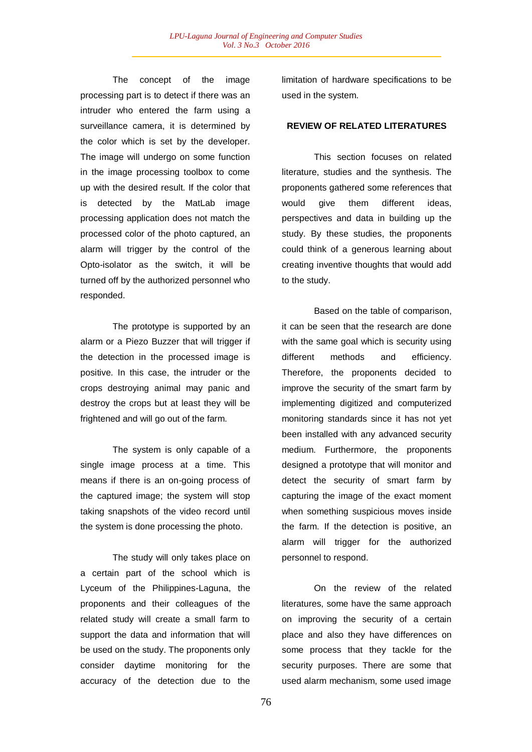The concept of the image processing part is to detect if there was an intruder who entered the farm using a surveillance camera, it is determined by the color which is set by the developer. The image will undergo on some function in the image processing toolbox to come up with the desired result. If the color that is detected by the MatLab image processing application does not match the processed color of the photo captured, an alarm will trigger by the control of the Opto-isolator as the switch, it will be turned off by the authorized personnel who responded.

The prototype is supported by an alarm or a Piezo Buzzer that will trigger if the detection in the processed image is positive. In this case, the intruder or the crops destroying animal may panic and destroy the crops but at least they will be frightened and will go out of the farm.

The system is only capable of a single image process at a time. This means if there is an on-going process of the captured image; the system will stop taking snapshots of the video record until the system is done processing the photo.

The study will only takes place on a certain part of the school which is Lyceum of the Philippines-Laguna, the proponents and their colleagues of the related study will create a small farm to support the data and information that will be used on the study. The proponents only consider daytime monitoring for the accuracy of the detection due to the

limitation of hardware specifications to be used in the system.

## **REVIEW OF RELATED LITERATURES**

This section focuses on related literature, studies and the synthesis. The proponents gathered some references that would give them different ideas. perspectives and data in building up the study. By these studies, the proponents could think of a generous learning about creating inventive thoughts that would add to the study.

Based on the table of comparison, it can be seen that the research are done with the same goal which is security using different methods and efficiency. Therefore, the proponents decided to improve the security of the smart farm by implementing digitized and computerized monitoring standards since it has not yet been installed with any advanced security medium. Furthermore, the proponents designed a prototype that will monitor and detect the security of smart farm by capturing the image of the exact moment when something suspicious moves inside the farm. If the detection is positive, an alarm will trigger for the authorized personnel to respond.

On the review of the related literatures, some have the same approach on improving the security of a certain place and also they have differences on some process that they tackle for the security purposes. There are some that used alarm mechanism, some used image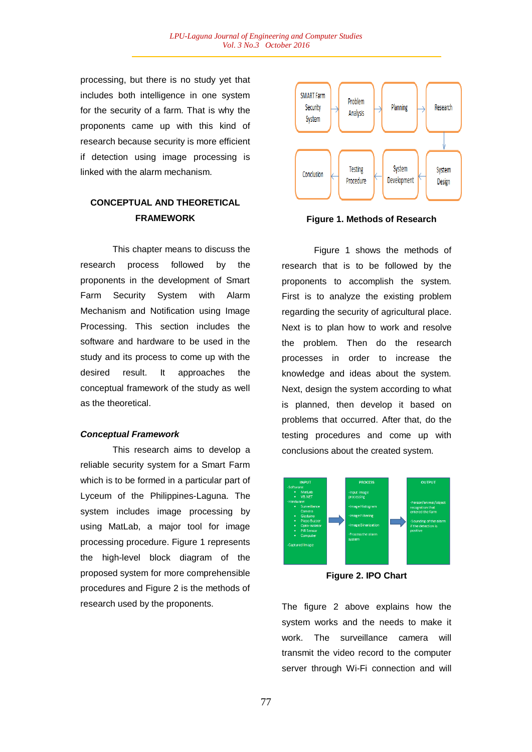processing, but there is no study yet that includes both intelligence in one system for the security of a farm. That is why the proponents came up with this kind of research because security is more efficient if detection using image processing is linked with the alarm mechanism.

# **CONCEPTUAL AND THEORETICAL FRAMEWORK**

This chapter means to discuss the research process followed by the proponents in the development of Smart Farm Security System with Alarm Mechanism and Notification using Image Processing. This section includes the software and hardware to be used in the study and its process to come up with the desired result. It approaches the conceptual framework of the study as well as the theoretical.

## *Conceptual Framework*

This research aims to develop a reliable security system for a Smart Farm which is to be formed in a particular part of Lyceum of the Philippines-Laguna. The system includes image processing by using MatLab, a major tool for image processing procedure. Figure 1 represents the high-level block diagram of the proposed system for more comprehensible procedures and Figure 2 is the methods of research used by the proponents.



**Figure 1. Methods of Research**

Figure 1 shows the methods of research that is to be followed by the proponents to accomplish the system. First is to analyze the existing problem regarding the security of agricultural place. Next is to plan how to work and resolve the problem. Then do the research processes in order to increase the knowledge and ideas about the system. Next, design the system according to what is planned, then develop it based on problems that occurred. After that, do the testing procedures and come up with conclusions about the created system.



**Figure 2. IPO Chart**

The figure 2 above explains how the system works and the needs to make it work. The surveillance camera will transmit the video record to the computer server through Wi-Fi connection and will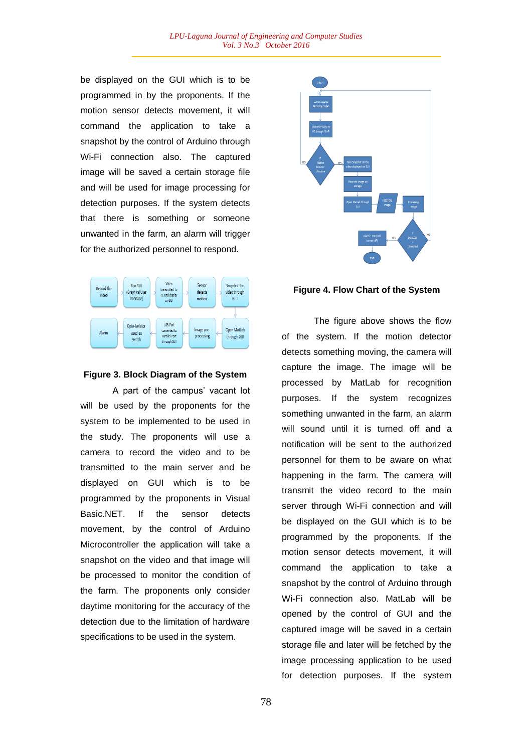be displayed on the GUI which is to be programmed in by the proponents. If the motion sensor detects movement, it will command the application to take a snapshot by the control of Arduino through Wi-Fi connection also. The captured image will be saved a certain storage file and will be used for image processing for detection purposes. If the system detects that there is something or someone unwanted in the farm, an alarm will trigger for the authorized personnel to respond.



### **Figure 3. Block Diagram of the System**

A part of the campus' vacant lot will be used by the proponents for the system to be implemented to be used in the study. The proponents will use a camera to record the video and to be transmitted to the main server and be displayed on GUI which is to be programmed by the proponents in Visual Basic.NET. If the sensor detects movement, by the control of Arduino Microcontroller the application will take a snapshot on the video and that image will be processed to monitor the condition of the farm. The proponents only consider daytime monitoring for the accuracy of the detection due to the limitation of hardware specifications to be used in the system.



### **Figure 4. Flow Chart of the System**

The figure above shows the flow of the system. If the motion detector detects something moving, the camera will capture the image. The image will be processed by MatLab for recognition purposes. If the system recognizes something unwanted in the farm, an alarm will sound until it is turned off and a notification will be sent to the authorized personnel for them to be aware on what happening in the farm. The camera will transmit the video record to the main server through Wi-Fi connection and will be displayed on the GUI which is to be programmed by the proponents. If the motion sensor detects movement, it will command the application to take a snapshot by the control of Arduino through Wi-Fi connection also. MatLab will be opened by the control of GUI and the captured image will be saved in a certain storage file and later will be fetched by the image processing application to be used for detection purposes. If the system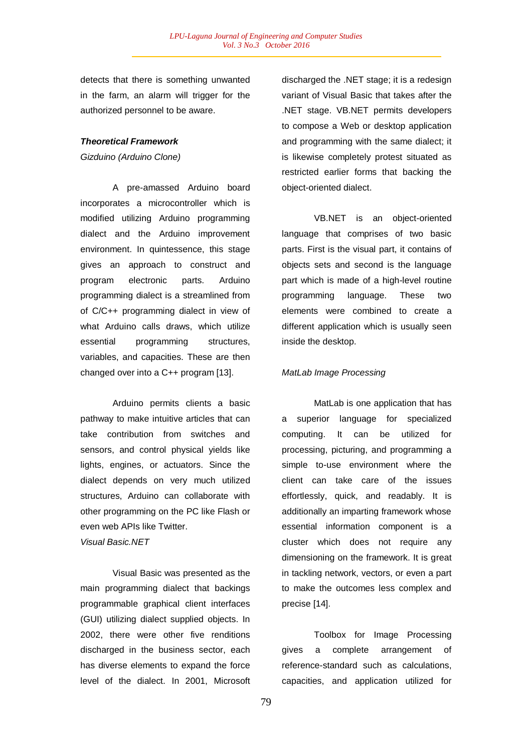detects that there is something unwanted in the farm, an alarm will trigger for the authorized personnel to be aware.

## *Theoretical Framework*

*Gizduino (Arduino Clone)*

A pre-amassed Arduino board incorporates a microcontroller which is modified utilizing Arduino programming dialect and the Arduino improvement environment. In quintessence, this stage gives an approach to construct and program electronic parts. Arduino programming dialect is a streamlined from of C/C++ programming dialect in view of what Arduino calls draws, which utilize essential programming structures, variables, and capacities. These are then changed over into a C++ program [13].

Arduino permits clients a basic pathway to make intuitive articles that can take contribution from switches and sensors, and control physical yields like lights, engines, or actuators. Since the dialect depends on very much utilized structures, Arduino can collaborate with other programming on the PC like Flash or even web APIs like Twitter. *Visual Basic.NET*

Visual Basic was presented as the main programming dialect that backings programmable graphical client interfaces (GUI) utilizing dialect supplied objects. In 2002, there were other five renditions discharged in the business sector, each has diverse elements to expand the force level of the dialect. In 2001, Microsoft

discharged the .NET stage; it is a redesign variant of Visual Basic that takes after the .NET stage. VB.NET permits developers to compose a Web or desktop application and programming with the same dialect; it is likewise completely protest situated as restricted earlier forms that backing the object-oriented dialect.

VB.NET is an object-oriented language that comprises of two basic parts. First is the visual part, it contains of objects sets and second is the language part which is made of a high-level routine programming language. These two elements were combined to create a different application which is usually seen inside the desktop.

### *MatLab Image Processing*

MatLab is one application that has a superior language for specialized computing. It can be utilized for processing, picturing, and programming a simple to-use environment where the client can take care of the issues effortlessly, quick, and readably. It is additionally an imparting framework whose essential information component is a cluster which does not require any dimensioning on the framework. It is great in tackling network, vectors, or even a part to make the outcomes less complex and precise [14].

Toolbox for Image Processing gives a complete arrangement of reference-standard such as calculations, capacities, and application utilized for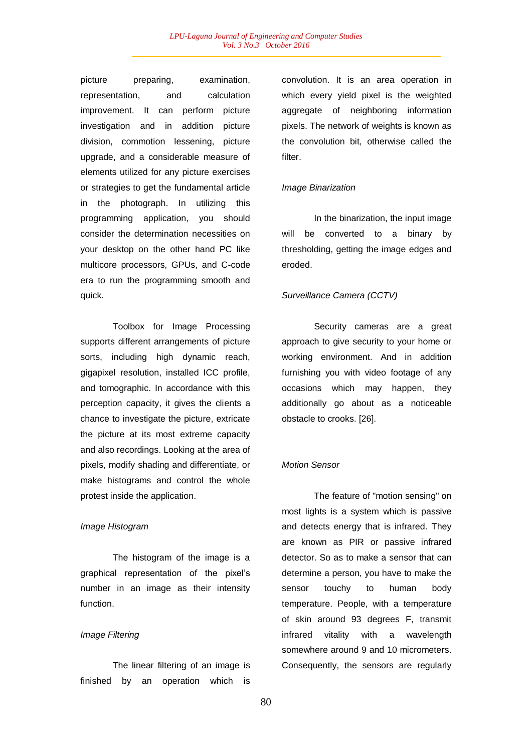picture preparing, examination, representation, and calculation improvement. It can perform picture investigation and in addition picture division, commotion lessening, picture upgrade, and a considerable measure of elements utilized for any picture exercises or strategies to get the fundamental article in the photograph. In utilizing this programming application, you should consider the determination necessities on your desktop on the other hand PC like multicore processors, GPUs, and C-code era to run the programming smooth and quick.

Toolbox for Image Processing supports different arrangements of picture sorts, including high dynamic reach, gigapixel resolution, installed ICC profile, and tomographic. In accordance with this perception capacity, it gives the clients a chance to investigate the picture, extricate the picture at its most extreme capacity and also recordings. Looking at the area of pixels, modify shading and differentiate, or make histograms and control the whole protest inside the application.

### *Image Histogram*

The histogram of the image is a graphical representation of the pixel's number in an image as their intensity function.

### *Image Filtering*

The linear filtering of an image is finished by an operation which is

convolution. It is an area operation in which every yield pixel is the weighted aggregate of neighboring information pixels. The network of weights is known as the convolution bit, otherwise called the filter.

### *Image Binarization*

In the binarization, the input image will be converted to a binary by thresholding, getting the image edges and eroded.

### *Surveillance Camera (CCTV)*

Security cameras are a great approach to give security to your home or working environment. And in addition furnishing you with video footage of any occasions which may happen, they additionally go about as a noticeable obstacle to crooks. [26].

### *Motion Sensor*

The feature of "motion sensing" on most lights is a system which is passive and detects energy that is infrared. They are known as PIR or passive infrared detector. So as to make a sensor that can determine a person, you have to make the sensor touchy to human body temperature. People, with a temperature of skin around 93 degrees F, transmit infrared vitality with a wavelength somewhere around 9 and 10 micrometers. Consequently, the sensors are regularly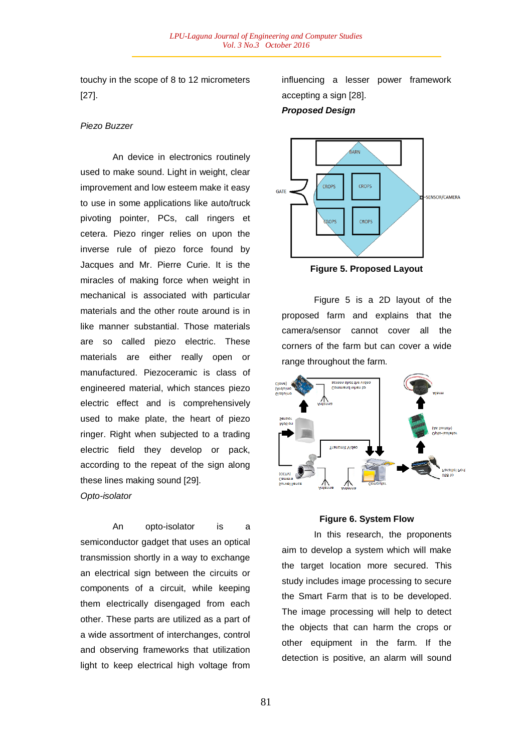touchy in the scope of 8 to 12 micrometers [27].

### *Piezo Buzzer*

An device in electronics routinely used to make sound. Light in weight, clear improvement and low esteem make it easy to use in some applications like auto/truck pivoting pointer, PCs, call ringers et cetera. Piezo ringer relies on upon the inverse rule of piezo force found by Jacques and Mr. Pierre Curie. It is the miracles of making force when weight in mechanical is associated with particular materials and the other route around is in like manner substantial. Those materials are so called piezo electric. These materials are either really open or manufactured. Piezoceramic is class of engineered material, which stances piezo electric effect and is comprehensively used to make plate, the heart of piezo ringer. Right when subjected to a trading electric field they develop or pack, according to the repeat of the sign along these lines making sound [29]. *Opto-isolator*

An opto-isolator is a semiconductor gadget that uses an optical transmission shortly in a way to exchange an electrical sign between the circuits or components of a circuit, while keeping them electrically disengaged from each other. These parts are utilized as a part of a wide assortment of interchanges, control and observing frameworks that utilization light to keep electrical high voltage from influencing a lesser power framework accepting a sign [28].

# *Proposed Design*



**Figure 5. Proposed Layout**

Figure 5 is a 2D layout of the proposed farm and explains that the camera/sensor cannot cover all the corners of the farm but can cover a wide range throughout the farm.



### **Figure 6. System Flow**

In this research, the proponents aim to develop a system which will make the target location more secured. This study includes image processing to secure the Smart Farm that is to be developed. The image processing will help to detect the objects that can harm the crops or other equipment in the farm. If the detection is positive, an alarm will sound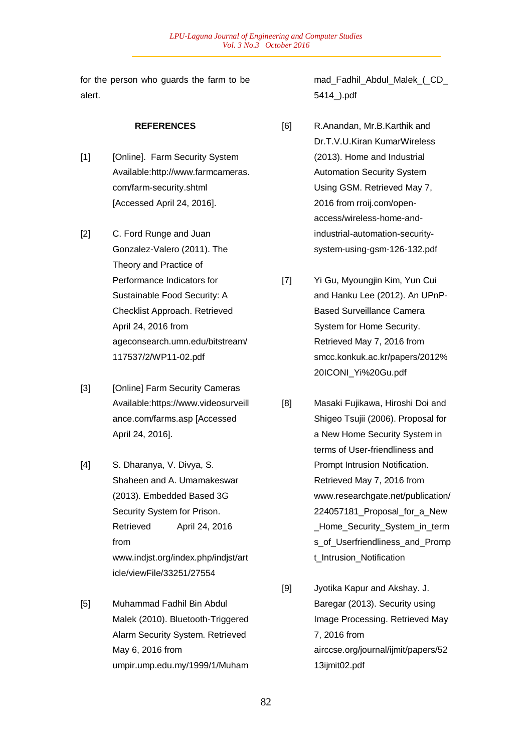for the person who guards the farm to be alert.

### **REFERENCES**

- [1] [Online]. Farm Security System Available:http://www.farmcameras. com/farm-security.shtml [Accessed April 24, 2016].
- [2] C. Ford Runge and Juan Gonzalez-Valero (2011). The Theory and Practice of Performance Indicators for Sustainable Food Security: A Checklist Approach. Retrieved April 24, 2016 from ageconsearch.umn.edu/bitstream/ 117537/2/WP11-02.pdf
- [3] [Online] Farm Security Cameras Available:https://www.videosurveill ance.com/farms.asp [Accessed April 24, 2016].
- [4] S. Dharanya, V. Divya, S. Shaheen and A. Umamakeswar (2013). Embedded Based 3G Security System for Prison. Retrieved April 24, 2016 from www.indjst.org/index.php/indjst/art icle/viewFile/33251/27554
- [5] Muhammad Fadhil Bin Abdul Malek (2010). Bluetooth-Triggered Alarm Security System. Retrieved May 6, 2016 from umpir.ump.edu.my/1999/1/Muham

mad Fadhil Abdul Malek (CD 5414\_).pdf

- [6] R.Anandan, Mr.B.Karthik and Dr.T.V.U.Kiran KumarWireless (2013). Home and Industrial Automation Security System Using GSM. Retrieved May 7, 2016 from rroij.com/openaccess/wireless-home-andindustrial-automation-securitysystem-using-gsm-126-132.pdf
- [7] Yi Gu, Myoungjin Kim, Yun Cui and Hanku Lee (2012). An UPnP-Based Surveillance Camera System for Home Security. Retrieved May 7, 2016 from smcc.konkuk.ac.kr/papers/2012% 20ICONI\_Yi%20Gu.pdf
- [8] Masaki Fujikawa, Hiroshi Doi and Shigeo Tsujii (2006). Proposal for a New Home Security System in terms of User-friendliness and Prompt Intrusion Notification. Retrieved May 7, 2016 from www.researchgate.net/publication/ 224057181\_Proposal\_for\_a\_New \_Home\_Security\_System\_in\_term s\_of\_Userfriendliness\_and\_Promp t\_Intrusion\_Notification
- [9] Jyotika Kapur and Akshay. J. Baregar (2013). Security using Image Processing. Retrieved May 7, 2016 from airccse.org/journal/ijmit/papers/52 13ijmit02.pdf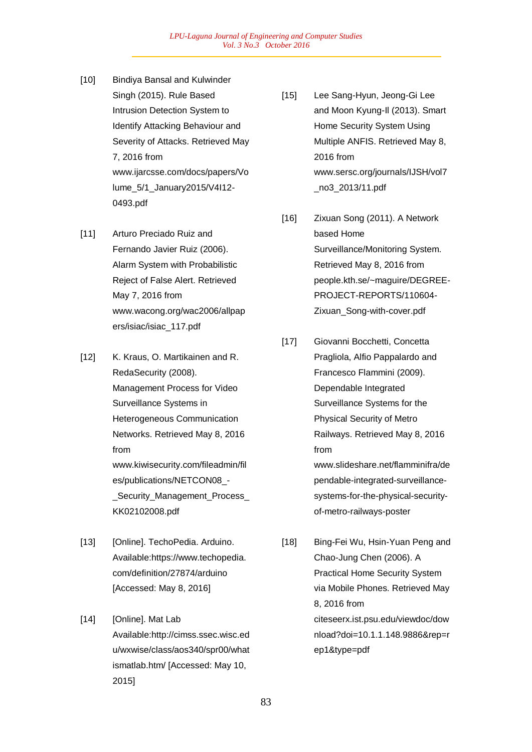- [10] Bindiya Bansal and Kulwinder Singh (2015). Rule Based Intrusion Detection System to Identify Attacking Behaviour and Severity of Attacks. Retrieved May 7, 2016 from www.ijarcsse.com/docs/papers/Vo lume\_5/1\_January2015/V4I12- 0493.pdf
- [11] Arturo Preciado Ruiz and Fernando Javier Ruiz (2006). Alarm System with Probabilistic Reject of False Alert. Retrieved May 7, 2016 from www.wacong.org/wac2006/allpap ers/isiac/isiac\_117.pdf
- [12] K. Kraus, O. Martikainen and R. RedaSecurity (2008). Management Process for Video Surveillance Systems in Heterogeneous Communication Networks. Retrieved May 8, 2016 from www.kiwisecurity.com/fileadmin/fil es/publications/NETCON08\_- \_Security\_Management\_Process\_ KK02102008.pdf
- [13] [Online]. TechoPedia. Arduino. Available:https://www.techopedia. com/definition/27874/arduino [Accessed: May 8, 2016]
- [14] [Online]. Mat Lab Available:http://cimss.ssec.wisc.ed u/wxwise/class/aos340/spr00/what ismatlab.htm/ [Accessed: May 10, 2015]
- [15] Lee Sang-Hyun, Jeong-Gi Lee and Moon Kyung-Il (2013). Smart Home Security System Using Multiple ANFIS. Retrieved May 8, 2016 from www.sersc.org/journals/IJSH/vol7 \_no3\_2013/11.pdf
- [16] Zixuan Song (2011). A Network based Home Surveillance/Monitoring System. Retrieved May 8, 2016 from people.kth.se/~maguire/DEGREE-PROJECT-REPORTS/110604- Zixuan\_Song-with-cover.pdf
- [17] Giovanni Bocchetti, Concetta Pragliola, Alfio Pappalardo and Francesco Flammini (2009). Dependable Integrated Surveillance Systems for the Physical Security of Metro Railways. Retrieved May 8, 2016 from www.slideshare.net/flamminifra/de pendable-integrated-surveillancesystems-for-the-physical-securityof-metro-railways-poster
- [18] Bing-Fei Wu, Hsin-Yuan Peng and Chao-Jung Chen (2006). A Practical Home Security System via Mobile Phones. Retrieved May 8, 2016 from citeseerx.ist.psu.edu/viewdoc/dow nload?doi=10.1.1.148.9886&rep=r ep1&type=pdf